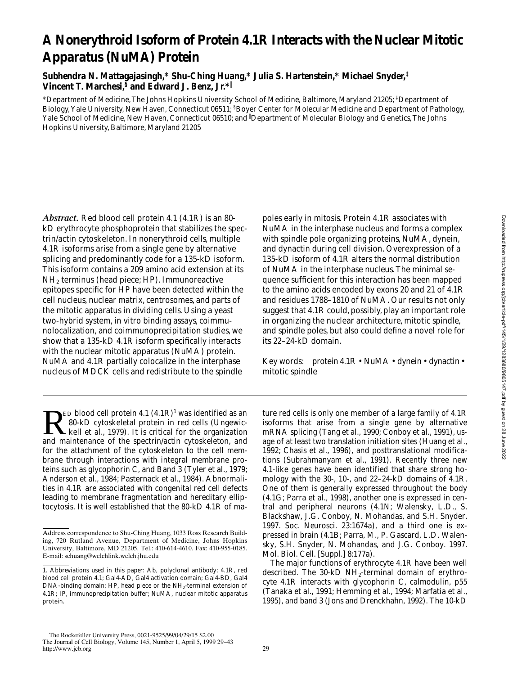# **A Nonerythroid Isoform of Protein 4.1R Interacts with the Nuclear Mitotic Apparatus (NuMA) Protein**

**Subhendra N. Mattagajasingh,\* Shu-Ching Huang,\* Julia S. Hartenstein,\* Michael Snyder,‡ Vincent T. Marchesi,§ and Edward J. Benz, Jr.\***<sup>i</sup>

\*Department of Medicine, The Johns Hopkins University School of Medicine, Baltimore, Maryland 21205; ‡ Department of Biology, Yale University, New Haven, Connecticut 06511; <sup>§</sup>Boyer Center for Molecular Medicine and Department of Pathology, Yale School of Medicine, New Haven, Connecticut 06510; and <sup>i</sup> Department of Molecular Biology and Genetics, The Johns Hopkins University, Baltimore, Maryland 21205

*Abstract.* Red blood cell protein 4.1 (4.1R) is an 80 kD erythrocyte phosphoprotein that stabilizes the spectrin/actin cytoskeleton. In nonerythroid cells, multiple 4.1R isoforms arise from a single gene by alternative splicing and predominantly code for a 135-kD isoform. This isoform contains a 209 amino acid extension at its NH2 terminus (head piece; HP). Immunoreactive epitopes specific for HP have been detected within the cell nucleus, nuclear matrix, centrosomes, and parts of the mitotic apparatus in dividing cells. Using a yeast two-hybrid system, in vitro binding assays, coimmunolocalization, and coimmunoprecipitation studies, we show that a 135-kD 4.1R isoform specifically interacts with the nuclear mitotic apparatus (NuMA) protein. NuMA and 4.1R partially colocalize in the interphase nucleus of MDCK cells and redistribute to the spindle

poles early in mitosis. Protein 4.1R associates with NuMA in the interphase nucleus and forms a complex with spindle pole organizing proteins, NuMA, dynein, and dynactin during cell division. Overexpression of a 135-kD isoform of 4.1R alters the normal distribution of NuMA in the interphase nucleus. The minimal sequence sufficient for this interaction has been mapped to the amino acids encoded by exons 20 and 21 of 4.1R and residues 1788–1810 of NuMA. Our results not only suggest that 4.1R could, possibly, play an important role in organizing the nuclear architecture, mitotic spindle, and spindle poles, but also could define a novel role for its 22–24-kD domain.

Key words: protein 4.1R • NuMA • dynein • dynactin • mitotic spindle

 $\sum_{k=1}^{\infty}$  ED blood cell protein 4.1  $(4.1R)^1$  was identified as an 80-kD cytoskeletal protein in red cells (Ungewickell et al., 1979). It is critical for the organization 80-kD cytoskeletal protein in red cells (Ungewickell et al., 1979). It is critical for the organization and maintenance of the spectrin/actin cytoskeleton, and for the attachment of the cytoskeleton to the cell membrane through interactions with integral membrane proteins such as glycophorin C, and Band 3 (Tyler et al., 1979; Anderson et al., 1984; Pasternack et al., 1984). Abnormalities in 4.1R are associated with congenital red cell defects leading to membrane fragmentation and hereditary elliptocytosis. It is well established that the 80-kD 4.1R of ma-

ture red cells is only one member of a large family of 4.1R isoforms that arise from a single gene by alternative mRNA splicing (Tang et al., 1990; Conboy et al., 1991), usage of at least two translation initiation sites (Huang et al., 1992; Chasis et al., 1996), and posttranslational modifications (Subrahmanyam et al., 1991). Recently three new 4.1-like genes have been identified that share strong homology with the 30-, 10-, and 22–24-kD domains of 4.1R. One of them is generally expressed throughout the body (4.1G; Parra et al., 1998), another one is expressed in central and peripheral neurons (4.1N; Walensky, L.D., S. Blackshaw, J.G. Conboy, N. Mohandas, and S.H. Snyder. 1997. *Soc. Neurosci*. 23:1674a), and a third one is expressed in brain (4.1B; Parra, M., P. Gascard, L.D. Walensky, S.H. Snyder, N. Mohandas, and J.G. Conboy. 1997. *Mol. Biol. Cell.* [Suppl.] 8:177a).

The major functions of erythrocyte 4.1R have been well described. The  $30-kD NH_2$ -terminal domain of erythrocyte 4.1R interacts with glycophorin C, calmodulin, p55 (Tanaka et al., 1991; Hemming et al., 1994; Marfatia et al., 1995), and band 3 (Jons and Drenckhahn, 1992). The 10-kD

Address correspondence to Shu-Ching Huang, 1033 Ross Research Building, 720 Rutland Avenue, Department of Medicine, Johns Hopkins University, Baltimore, MD 21205. Tel.: 410-614-4610. Fax: 410-955-0185. E-mail: schuang@welchlink.welch.jhu.edu

<sup>1.</sup> *Abbreviations used in this paper:* Ab, polyclonal antibody; 4.1R, red blood cell protein 4.1; Gal4-AD, Gal4 activation domain; Gal4-BD, Gal4 DNA-binding domain; HP, head piece or the  $\mathrm{NH}_2$  terminal extension of 4.1R; IP, immunoprecipitation buffer; NuMA, nuclear mitotic apparatus protein.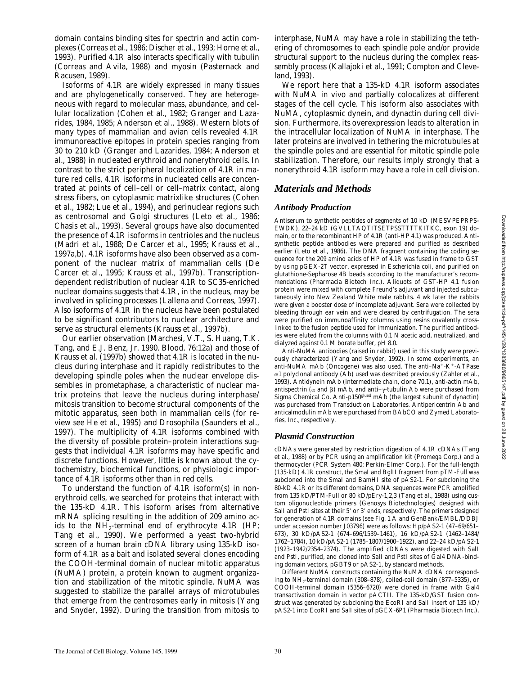domain contains binding sites for spectrin and actin complexes (Correas et al., 1986; Discher et al., 1993; Horne et al., 1993). Purified 4.1R also interacts specifically with tubulin (Correas and Avila, 1988) and myosin (Pasternack and Racusen, 1989).

Isoforms of 4.1R are widely expressed in many tissues and are phylogenetically conserved. They are heterogeneous with regard to molecular mass, abundance, and cellular localization (Cohen et al., 1982; Granger and Lazarides, 1984, 1985; Anderson et al., 1988). Western blots of many types of mammalian and avian cells revealed 4.1R immunoreactive epitopes in protein species ranging from 30 to 210 kD (Granger and Lazarides, 1984; Anderson et al., 1988) in nucleated erythroid and nonerythroid cells. In contrast to the strict peripheral localization of 4.1R in mature red cells, 4.1R isoforms in nucleated cells are concentrated at points of cell–cell or cell–matrix contact, along stress fibers, on cytoplasmic matrixlike structures (Cohen et al., 1982; Lue et al., 1994), and perinuclear regions such as centrosomal and Golgi structures (Leto et al., 1986; Chasis et al., 1993). Several groups have also documented the presence of 4.1R isoforms in centrioles and the nucleus (Madri et al., 1988; De Carcer et al., 1995; Krauss et al., 1997a,b). 4.1R isoforms have also been observed as a component of the nuclear matrix of mammalian cells (De Carcer et al., 1995; Krauss et al., 1997b). Transcriptiondependent redistribution of nuclear 4.1R to SC35-enriched nuclear domains suggests that 4.1R, in the nucleus, may be involved in splicing processes (Lallena and Correas, 1997). Also isoforms of 4.1R in the nucleus have been postulated to be significant contributors to nuclear architecture and serve as structural elements (Krauss et al., 1997b).

Our earlier observation (Marchesi, V.T., S. Huang, T.K. Tang, and E.J. Benz, Jr. 1990. *Blood.* 76:12a) and those of Krauss et al. (1997b) showed that 4.1R is located in the nucleus during interphase and it rapidly redistributes to the developing spindle poles when the nuclear envelope dissembles in prometaphase, a characteristic of nuclear matrix proteins that leave the nucleus during interphase/ mitosis transition to become structural components of the mitotic apparatus, seen both in mammalian cells (for review see He et al., 1995) and *Drosophila* (Saunders et al., 1997). The multiplicity of 4.1R isoforms combined with the diversity of possible protein–protein interactions suggests that individual 4.1R isoforms may have specific and discrete functions. However, little is known about the cytochemistry, biochemical functions, or physiologic importance of 4.1R isoforms other than in red cells.

To understand the function of 4.1R isoform(s) in nonerythroid cells, we searched for proteins that interact with the 135-kD 4.1R. This isoform arises from alternative mRNA splicing resulting in the addition of 209 amino acids to the  $NH<sub>2</sub>$ -terminal end of erythrocyte 4.1R (HP; Tang et al., 1990). We performed a yeast two-hybrid screen of a human brain cDNA library using 135-kD isoform of 4.1R as a bait and isolated several clones encoding the COOH-terminal domain of nuclear mitotic apparatus (NuMA) protein, a protein known to augment organization and stabilization of the mitotic spindle. NuMA was suggested to stabilize the parallel arrays of microtubules that emerge from the centrosomes early in mitosis (Yang and Snyder, 1992). During the transition from mitosis to

interphase, NuMA may have a role in stabilizing the tethering of chromosomes to each spindle pole and/or provide structural support to the nucleus during the complex reassembly process (Kallajoki et al., 1991; Compton and Cleveland, 1993).

We report here that a 135-kD 4.1R isoform associates with NuMA in vivo and partially colocalizes at different stages of the cell cycle. This isoform also associates with NuMA, cytoplasmic dynein, and dynactin during cell division. Furthermore, its overexpression leads to alteration in the intracellular localization of NuMA in interphase. The later proteins are involved in tethering the microtubules at the spindle poles and are essential for mitotic spindle pole stabilization. Therefore, our results imply strongly that a nonerythroid 4.1R isoform may have a role in cell division.

# *Materials and Methods*

#### *Antibody Production*

Antiserum to synthetic peptides of segments of 10 kD (MESVPEPRPS-EWDK), 22–24 kD (GVLLTAQTITSETPSSTTTTKITKC, exon 19) domain, or to the recombinant HP of 4.1R (anti-HP 4.1) was produced. Antisynthetic peptide antibodies were prepared and purified as described earlier (Leto et al., 1986). The DNA fragment containing the coding sequence for the 209 amino acids of HP of 4.1R was fused in frame to GST by using pGEX-2T vector, expressed in *Escherichia coli*, and purified on glutathione-Sepharose 4B beads according to the manufacturer's recommendations (Pharmacia Biotech Inc.). Aliquots of GST-HP 4.1 fusion protein were mixed with complete Freund's adjuvant and injected subcutaneously into New Zealand White male rabbits. 4 wk later the rabbits were given a booster dose of incomplete adjuvant. Sera were collected by bleeding through ear vein and were cleared by centrifugation. The sera were purified on immunoaffinity columns using resins covalently crosslinked to the fusion peptide used for immunization. The purified antibodies were eluted from the columns with 0.1 N acetic acid, neutralized, and dialyzed against 0.1 M borate buffer, pH 8.0.

Anti-NuMA antibodies (raised in rabbit) used in this study were previously characterized (Yang and Snyder, 1992). In some experiments, an anti-NuMA mAb (Oncogene) was also used. The anti-Na<sup>+</sup>-K<sup>+</sup>-ATPase  $\alpha$ 1 polyclonal antibody (Ab) used was described previously (Zahler et al., 1993). Antidynein mAb (intermediate chain, clone 70.1), anti-actin mAb, antispectrin ( $\alpha$  and  $\beta$ ) mAb, and anti- $\gamma$ -tubulin Ab were purchased from Sigma Chemical Co. Anti-p150glued mAb (the largest subunit of dynactin) was purchased from Transduction Laboratories. Antipericentrin Ab and anticalmodulin mAb were purchased from BAbCO and Zymed Laboratories, Inc., respectively.

### *Plasmid Construction*

cDNAs were generated by restriction digestion of 4.1R cDNAs (Tang et al., 1988) or by PCR using an amplification kit (Promega Corp.) and a thermocycler (PCR System 480; Perkin-Elmer Corp.). For the full-length (135-kD) 4.1R construct, the SmaI and BglII fragment from pTM-Full was subcloned into the SmaI and BamHI site of pAS2-1. For subcloning the 80-kD 4.1R or its different domains, DNA sequences were PCR amplified from 135 kD/PTM-Full or 80 kD/pEry-1,2,3 (Tang et al., 1988) using custom oligonucleotide primers (Genosys Biotechnologies) designed with SalI and PstI sites at their 5' or 3' ends, respectively. The primers designed for generation of 4.1R domains (see Fig. 1 A and GenBank/EMBL/DDBJ under accession number J03796) were as follows: Hp/pAS2-1 (47–69/651– 673), 30 kD/pAS2-1 (674–696/1539–1461), 16 kD/pAS2-1 (1462–1484/ 1762–1784), 10 kD/pAS2-1 (1785–1807/1900–1922), and 22–24 kD/pAS2-1 (1923–1942/2354–2374). The amplified cDNAs were digested with SalI and PstI, purified, and cloned into SalI and PstI sites of Gal4 DNA-binding domain vectors, pGBT9 or pAS2-1, by standard methods.

Different NuMA constructs containing the NuMA cDNA corresponding to NH2-terminal domain (308–878), coiled-coil domain (877–5335), or COOH-terminal domain (5356–6720) were cloned in frame with Gal4 transactivation domain in vector pACTII. The 135-kD/GST fusion construct was generated by subcloning the EcoRI and SalI insert of 135 kD/ pAS2-1 into EcoRI and SalI sites of pGEX-6P1 (Pharmacia Biotech Inc.).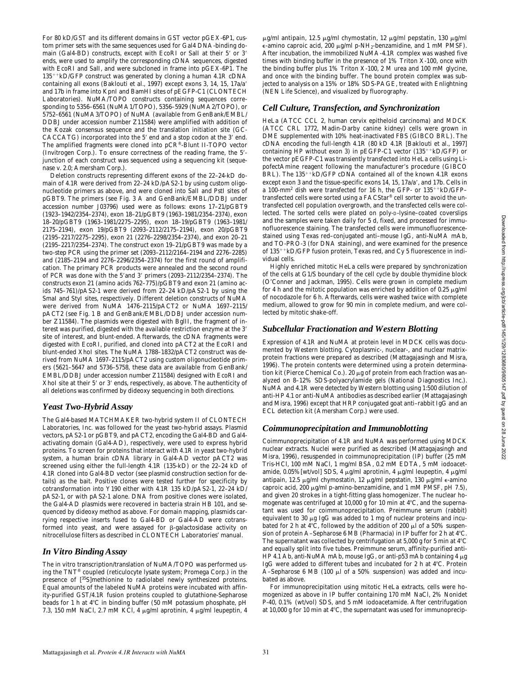For 80 kD/GST and its different domains in GST vector pGEX-6P1, custom primer sets with the same sequences used for Gal4 DNA-binding domain (Gal4-BD) constructs, except with EcoRI or SalI at their 5' or 3' ends, were used to amplify the corresponding cDNA sequences, digested with EcoRI and SalI, and were subcloned in frame into pGEX-6P1. The  $135^{++}$ kD/GFP construct was generated by cloning a human 4.1R cDNA containing all exons (Baklouti et al., 1997) except exons 3, 14, 15, 17a/a' and 17b in frame into KpnI and BamHI sites of pEGFP-C1 (CLONTECH Laboratories). NuMA/TOPO constructs containing sequences corresponding to 5356–6561 (NuMA1/TOPO), 5356–5929 (NuMA2/TOPO), or 5752–6561 (NuMA3/TOPO) of NuMA (available from GenBank/EMBL/ DDBJ under accession number Z11584) were amplified with addition of the Kozak consensus sequence and the translation initiation site (GC-CACCATG) incorporated into the 5' end and a stop codon at the 3' end. The amplified fragments were cloned into pCR®-Blunt II-TOPO vector (Invitrogen Corp.). To ensure correctness of the reading frame, the 5'junction of each construct was sequenced using a sequencing kit (sequenase v. 2.0; Amersham Corp.).

Deletion constructs representing different exons of the 22–24-kD domain of 4.1R were derived from 22–24 kD/pAS2-1 by using custom oligonucleotide primers as above, and were cloned into SalI and PstI sites of pGBT9. The primers (see Fig. 3 A and GenBank/EMBL/DDBJ under accession number J03796) used were as follows: exons 17–21/pGBT9 (1923–1942/2354–2374), exon 18–21/pGBT9 (1963–1981/2354–2374), exon 18–20/pGBT9 (1963–1981/2275–2295), exon 18–19/pGBT9 (1963–1981/ 2175–2194), exon 19/pGBT9 (2093–2112/2175–2194), exon 20/pGBT9 (2195–2217/2275–2295), exon 21 (2276–2298/2354–2374), and exon 20–21 (2195–2217/2354–2374). The construct exon 19–21/pGBT9 was made by a two-step PCR using the primer set (2093–2112/2164–2194 and 2276–2285) and (2185–2194 and 2276–2296/2354–2374) for the first round of amplification. The primary PCR products were annealed and the second round of PCR was done with the 5'and 3' primers (2093-2112/2354-2374). The constructs exon 21 (amino acids 762–775)/pGBT9 and exon 21 (amino acids 745–761)/pAS2-1 were derived from 22–24 kD/pAS2-1 by using the SmaI and StyI sites, respectively. Different deletion constructs of NuMA were derived from NuMA 1476–2115/pACT2 or NuMA 1697–2115/ pACT2 (see Fig. 1 B and GenBank/EMBL/DDBJ under accession number Z11584). The plasmids were digested with BglII, the fragment of interest was purified, digested with the available restriction enzyme at the 3' site of interest, and blunt-ended. Afterwards, the cDNA fragments were digested with EcoRI, purified, and cloned into pACT2 at the EcoRI and blunt-ended XhoI sites. The NuMA 1788–1832/pACT2 construct was derived from NuMA 1697–2115/pACT2 using custom oligonucleotide primers (5621–5647 and 5736–5758, these data are available from GenBank/ EMBL/DDBJ under accession number Z11584) designed with EcoRI and XhoI site at their 5' or 3' ends, respectively, as above. The authenticity of all deletions was confirmed by dideoxy sequencing in both directions.

### *Yeast Two-Hybrid Assay*

The Gal4-based MATCHMAKER two-hybrid system II of CLONTECH Laboratories, Inc. was followed for the yeast two-hybrid assays. Plasmid vectors, pAS2-1 or pGBT9, and pACT2, encoding the Gal4-BD and Gal4 activating domain (Gal4-AD), respectively, were used to express hybrid proteins. To screen for proteins that interact with 4.1R in yeast two-hybrid system, a human brain cDNA library in Gal4-AD vector pACT2 was screened using either the full-length 4.1R (135-kD) or the 22–24 kD of 4.1R cloned into Gal4-BD vector (see plasmid construction section for details) as the bait. Positive clones were tested further for specificity by cotransformation into Y190 either with 4.1R 135 kD/pAS2-1, 22–24 kD/ pAS2-1, or with pAS2-1 alone. DNA from positive clones were isolated, the Gal4-AD plasmids were recovered in bacteria strain HB 101, and sequenced by dideoxy method as above. For domain mapping, plasmids carrying respective inserts fused to Gal4-BD or Gal4-AD were cotransformed into yeast, and were assayed for  $\beta$ -galactosidase activity on nitrocellulose filters as described in CLONTECH Laboratories' manual.

#### *In Vitro Binding Assay*

The in vitro transcription/translation of NuMA/TOPO was performed using the TNT® coupled (reticulocyte lysate system; Promega Corp.) in the presence of [<sup>35</sup>S]methionine to radiolabel newly synthesized proteins. Equal amounts of the labeled NuMA proteins were incubated with affinity-purified GST/4.1R fusion proteins coupled to glutathione-Sepharose beads for 1 h at 4°C in binding buffer (50 mM potassium phosphate, pH 7.3, 150 mM NaCl, 2.7 mM KCl, 4  $\mu$ g/ml aprotinin, 4  $\mu$ g/ml leupeptin, 4

 $\mu$ g/ml antipain, 12.5  $\mu$ g/ml chymostatin, 12  $\mu$ g/ml pepstatin, 130  $\mu$ g/ml  $\epsilon$ -amino caproic acid, 200  $\mu$ g/ml  $p$ -NH<sub>2</sub>-benzamidine, and 1 mM PMSF). After incubation, the immobilized NuMA-4.1R complex was washed five times with binding buffer in the presence of 1% Triton X-100, once with the binding buffer plus 1% Triton X-100, 2 M urea and 100 mM glycine, and once with the binding buffer. The bound protein complex was subjected to analysis on a 15% or 18% SDS-PAGE, treated with Enlightning (NEN Life Science), and visualized by fluorography.

#### *Cell Culture, Transfection, and Synchronization*

HeLa (ATCC CCL 2, human cervix epitheloid carcinoma) and MDCK (ATCC CRL 1772, Madin-Darby canine kidney) cells were grown in DME supplemented with 10% heat-inactivated FBS (GIBCO BRL). The cDNA encoding the full-length 4.1R (80 kD 4.1R [Baklouti et al., 1997] containing HP without exon 3) in  $pEGFP-C1$  vector  $(135^{+1}kD/GFP)$  or the vector pEGFP-C1 was transiently transfected into HeLa cells using LipofectAmine reagent following the manufacturer's procedure (GIBCO BRL). The  $135^{+1}$ kD/GFP cDNA contained all of the known 4.1R exons except exon 3 and the tissue-specific exons 14, 15, 17a/a', and 17b. Cells in a 100-mm<sup>2</sup> dish were transfected for 16 h, the GFP- or  $135^{++}$ kD/GFPtransfected cells were sorted using a FACStar® cell sorter to avoid the untransfected cell population overgrowth, and the transfected cells were collected. The sorted cells were plated on poly-D-lysine–coated coverslips and the samples were taken daily for 5 d, fixed, and processed for immunofluorescence staining. The transfected cells were immunofluorescencestained using Texas red–conjugated anti–mouse IgG, anti-NuMA mAb, and TO-PRO-3 (for DNA staining), and were examined for the presence of 135<sup>++</sup>kD/GFP fusion protein, Texas red, and Cy 5 fluorescence in individual cells.

Highly enriched mitotic HeLa cells were prepared by synchronization of the cells at G1/S boundary of the cell cycle by double thymidine block (O'Conner and Jackman, 1995). Cells were grown in complete medium for 4 h and the mitotic population was enriched by addition of  $0.25 \mu\text{g/ml}$ of nocodazole for 6 h. Afterwards, cells were washed twice with complete medium, allowed to grow for 90 min in complete medium, and were collected by mitotic shake-off.

### *Subcellular Fractionation and Western Blotting*

Expression of 4.1R and NuMA at protein level in MDCK cells was documented by Western blotting. Cytoplasmic-, nuclear-, and nuclear matrixprotein fractions were prepared as described (Mattagajasingh and Misra, 1996). The protein contents were determined using a protein determination kit (Pierce Chemical Co.). 20  $\mu$ g of protein from each fraction was analyzed on 8–12% SDS-polyacrylamide gels (National Diagnostics Inc.). NuMA and 4.1R were detected by Western blotting using 1:500 dilution of anti-HP 4.1 or anti-NuMA antibodies as described earlier (Mattagajasingh and Misra, 1996) except that HRP conjugated goat anti–rabbit IgG and an ECL detection kit (Amersham Corp.) were used.

#### *Coimmunoprecipitation and Immunoblotting*

Coimmunoprecipitation of 4.1R and NuMA was performed using MDCK nuclear extracts. Nuclei were purified as described (Mattagajasingh and Misra, 1996), resuspended in coimmunoprecipitation (IP) buffer (25 mM Tris-HCl, 100 mM NaCl, 1 mg/ml BSA, 0.2 mM EDTA, 5 mM iodoacetamide,  $0.05\%$ [wt/vol] SDS, 4 µg/ml aprotinin, 4 µg/ml leupeptin, 4 µg/ml antipain, 12.5  $\mu$ g/ml chymostatin, 12  $\mu$ g/ml pepstatin, 130  $\mu$ g/ml  $\epsilon$ -amino caproic acid, 200 mg/ml *p*-amino-benzamidine, and 1 mM PMSF, pH 7.5), and given 20 strokes in a tight-fitting glass homogenizer. The nuclear homogenate was centrifuged at 10,000  $g$  for 10 min at  $4^{\circ}$ C, and the supernatant was used for coimmunoprecipitation. Preimmune serum (rabbit) equivalent to 30  $\mu$ g IgG was added to 1 mg of nuclear proteins and incubated for 2 h at 4°C, followed by the addition of 200  $\mu$ l of a 50% suspension of protein A-Sepharose 6 MB (Pharmacia) in IP buffer for 2 h at 4°C. The supernatant was collected by centrifugation at 5,000  $g$  for 5 min at  $4^{\circ}$ C and equally split into five tubes. Preimmune serum, affinity-purified anti-HP 4.1 Ab, anti-NuMA mAb, mouse IgG, or anti-p53 mAb containing 4  $\mu$ g IgG were added to different tubes and incubated for 2 h at 4°C. Protein A–Sepharose 6 MB (100  $\mu$ l of a 50% suspension) was added and incubated as above.

For immunoprecipitation using mitotic HeLa extracts, cells were homogenized as above in IP buffer containing 170 mM NaCl, 2% Nonidet P-40, 0.1% (wt/vol) SDS, and 5 mM iodoacetamide. After centrifugation at 10,000  $g$  for 10 min at  $4^{\circ}$ C, the supernatant was used for immunoprecip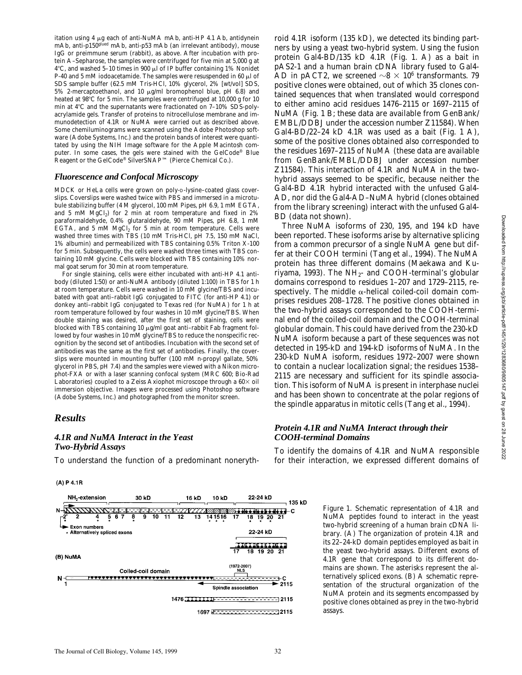itation using 4 µg each of anti-NuMA mAb, anti-HP 4.1 Ab, antidynein mAb, anti-p150glued mAb, anti-p53 mAb (an irrelevant antibody), mouse IgG or preimmune serum (rabbit), as above. After incubation with protein A–Sepharose, the samples were centrifuged for five min at 5,000 *g* at 4°C, and washed 5-10 times in 900  $\mu$ l of IP buffer containing 1% Nonidet P-40 and 5 mM iodoacetamide. The samples were resuspended in 60  $\mu$ l of SDS sample buffer (62.5 mM Tris-HCl, 10% glycerol, 2% [wt/vol] SDS, 5% 2-mercaptoethanol, and 10  $\mu$ g/ml bromophenol blue, pH 6.8) and heated at 98°C for 5 min. The samples were centrifuged at 10,000 g for 10 min at  $4^{\circ}$ C and the supernatants were fractionated on  $7-10\%$  SDS-polyacrylamide gels. Transfer of proteins to nitrocellulose membrane and immunodetection of 4.1R or NuMA were carried out as described above. Some chemiluminograms were scanned using the Adobe Photoshop software (Adobe Systems, Inc.) and the protein bands of interest were quantitated by using the NIH Image software for the Apple Macintosh computer. In some cases, the gels were stained with the GelCode® Blue Reagent or the GelCode® SilverSNAP™ (Pierce Chemical Co.).

#### *Fluorescence and Confocal Microscopy*

MDCK or HeLa cells were grown on poly-D-lysine–coated glass coverslips. Coverslips were washed twice with PBS and immersed in a microtubule stabilizing buffer (4 M glycerol, 100 mM Pipes, pH 6.9, 1 mM EGTA, and 5 mM  $MgCl<sub>2</sub>$ ) for 2 min at room temperature and fixed in 2% paraformaldehyde, 0.4% glutaraldehyde, 90 mM Pipes, pH 6.8, 1 mM EGTA, and 5 mM  $MgCl<sub>2</sub>$  for 5 min at room temperature. Cells were washed three times with TBS (10 mM Tris-HCl, pH 7.5, 150 mM NaCl, 1% albumin) and permeabilized with TBS containing 0.5% Triton X-100 for 5 min. Subsequently, the cells were washed three times with TBS containing 10 mM glycine. Cells were blocked with TBS containing 10% normal goat serum for 30 min at room temperature.

For single staining, cells were either incubated with anti-HP 4.1 antibody (diluted 1:50) or anti-NuMA antibody (diluted 1:100) in TBS for 1 h at room temperature. Cells were washed in 10 mM glycine/TBS and incubated with goat anti–rabbit IgG conjugated to FITC (for anti-HP 4.1) or donkey anti–rabbit IgG conjugated to Texas red (for NuMA) for 1 h at room temperature followed by four washes in 10 mM glycine/TBS. When double staining was desired, after the first set of staining, cells were blocked with TBS containing 10  $\mu$ g/ml goat anti-rabbit Fab fragment followed by four washes in 10 mM glycine/TBS to reduce the nonspecific recognition by the second set of antibodies. Incubation with the second set of antibodies was the same as the first set of antibodies. Finally, the coverslips were mounted in mounting buffer (100 mM *n*-propyl gallate, 50% glycerol in PBS, pH 7.4) and the samples were viewed with a Nikon microphot-FXA or with a laser scanning confocal system (MRC 600; Bio-Rad Laboratories) coupled to a Zeiss Axiophot microscope through a  $60\times$  oil immersion objective. Images were processed using Photoshop software (Adobe Systems, Inc.) and photographed from the monitor screen.

#### *Results*

#### *4.1R and NuMA Interact in the Yeast Two-Hybrid Assays*

To understand the function of a predominant noneryth-

 $(A)$  P 4.1R



roid 4.1R isoform (135 kD), we detected its binding partners by using a yeast two-hybrid system. Using the fusion protein Gal4-BD/135 kD 4.1R (Fig. 1. A) as a bait in pAS2-1 and a human brain cDNA library fused to Gal4- AD in pACT2, we screened  $\sim$ 8  $\times$  10<sup>6</sup> transformants. 79 positive clones were obtained, out of which 35 clones contained sequences that when translated would correspond to either amino acid residues 1476–2115 or 1697–2115 of NuMA (Fig. 1 B; these data are available from GenBank/ EMBL/DDBJ under the accession number Z11584). When Gal4-BD/22–24 kD 4.1R was used as a bait (Fig. 1 A), some of the positive clones obtained also corresponded to the residues 1697–2115 of NuMA (these data are available from GenBank/EMBL/DDBJ under accession number Z11584). This interaction of 4.1R and NuMA in the twohybrid assays seemed to be specific, because neither the Gal4-BD 4.1R hybrid interacted with the unfused Gal4- AD, nor did the Gal4-AD–NuMA hybrid (clones obtained from the library screening) interact with the unfused Gal4- BD (data not shown).

Three NuMA isoforms of 230, 195, and 194 kD have been reported. These isoforms arise by alternative splicing from a common precursor of a single NuMA gene but differ at their COOH termini (Tang et al., 1994). The NuMA protein has three different domains (Maekawa and Kuriyama, 1993). The  $NH_{2}$ - and COOH-terminal's globular domains correspond to residues 1–207 and 1729–2115, respectively. The middle  $\alpha$ -helical coiled-coil domain comprises residues 208–1728. The positive clones obtained in the two-hybrid assays corresponded to the COOH-terminal end of the coiled-coil domain and the COOH-terminal globular domain. This could have derived from the 230-kD NuMA isoform because a part of these sequences was not detected in 195-kD and 194-kD isoforms of NuMA. In the 230-kD NuMA isoform, residues 1972–2007 were shown to contain a nuclear localization signal; the residues 1538– 2115 are necessary and sufficient for its spindle association. This isoform of NuMA is present in interphase nuclei and has been shown to concentrate at the polar regions of the spindle apparatus in mitotic cells (Tang et al., 1994).

#### *Protein 4.1R and NuMA Interact through their COOH-terminal Domains*

To identify the domains of 4.1R and NuMA responsible for their interaction, we expressed different domains of

> *Figure 1*. Schematic representation of 4.1R and NuMA peptides found to interact in the yeast two-hybrid screening of a human brain cDNA library. (A) The organization of protein 4.1R and its 22–24-kD domain peptides employed as bait in the yeast two-hybrid assays. Different exons of 4.1R gene that correspond to its different domains are shown. The asterisks represent the alternatively spliced exons. (B) A schematic representation of the structural organization of the NuMA protein and its segments encompassed by positive clones obtained as prey in the two-hybrid assays.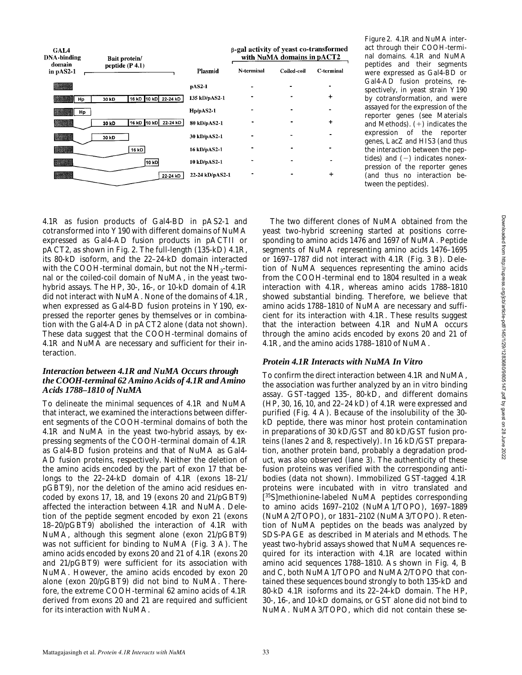

*Figure 2*. 4.1R and NuMA interact through their COOH-terminal domains. 4.1R and NuMA peptides and their segments were expressed as Gal4-BD or Gal4-AD fusion proteins, respectively, in yeast strain Y190 by cotransformation, and were assayed for the expression of the reporter genes (see Materials and Methods).  $(+)$  indicates the expression of the reporter genes, *LacZ* and *HIS3* (and thus the interaction between the peptides) and  $(-)$  indicates nonexpression of the reporter genes (and thus no interaction between the peptides).

4.1R as fusion products of Gal4-BD in pAS2-1 and cotransformed into Y190 with different domains of NuMA expressed as Gal4-AD fusion products in pACTII or pACT2, as shown in Fig. 2. The full-length (135-kD) 4.1R, its 80-kD isoform, and the 22–24-kD domain interacted with the COOH-terminal domain, but not the  $NH_2$ -terminal or the coiled-coil domain of NuMA, in the yeast twohybrid assays. The HP, 30-, 16-, or 10-kD domain of 4.1R did not interact with NuMA. None of the domains of 4.1R, when expressed as Gal4-BD fusion proteins in Y190, expressed the reporter genes by themselves or in combination with the Gal4-AD in pACT2 alone (data not shown). These data suggest that the COOH-terminal domains of 4.1R and NuMA are necessary and sufficient for their interaction.

#### *Interaction between 4.1R and NuMA Occurs through the COOH-terminal 62 Amino Acids of 4.1R and Amino Acids 1788–1810 of NuMA*

To delineate the minimal sequences of 4.1R and NuMA that interact, we examined the interactions between different segments of the COOH-terminal domains of both the 4.1R and NuMA in the yeast two-hybrid assays, by expressing segments of the COOH-terminal domain of 4.1R as Gal4-BD fusion proteins and that of NuMA as Gal4- AD fusion proteins, respectively. Neither the deletion of the amino acids encoded by the part of exon 17 that belongs to the 22–24-kD domain of 4.1R (exons 18–21/ pGBT9), nor the deletion of the amino acid residues encoded by exons 17, 18, and 19 (exons 20 and 21/pGBT9) affected the interaction between 4.1R and NuMA. Deletion of the peptide segment encoded by exon 21 (exons 18–20/pGBT9) abolished the interaction of 4.1R with NuMA, although this segment alone (exon 21/pGBT9) was not sufficient for binding to NuMA (Fig. 3 A). The amino acids encoded by exons 20 and 21 of 4.1R (exons 20 and 21/pGBT9) were sufficient for its association with NuMA. However, the amino acids encoded by exon 20 alone (exon 20/pGBT9) did not bind to NuMA. Therefore, the extreme COOH-terminal 62 amino acids of 4.1R derived from exons 20 and 21 are required and sufficient for its interaction with NuMA.

The two different clones of NuMA obtained from the yeast two-hybrid screening started at positions corresponding to amino acids 1476 and 1697 of NuMA. Peptide segments of NuMA representing amino acids 1476–1695 or 1697–1787 did not interact with 4.1R (Fig. 3 B). Deletion of NuMA sequences representing the amino acids from the COOH-terminal end to 1804 resulted in a weak interaction with 4.1R, whereas amino acids 1788–1810 showed substantial binding. Therefore, we believe that amino acids 1788–1810 of NuMA are necessary and sufficient for its interaction with 4.1R. These results suggest that the interaction between 4.1R and NuMA occurs through the amino acids encoded by exons 20 and 21 of 4.1R, and the amino acids 1788–1810 of NuMA.

### *Protein 4.1R Interacts with NuMA In Vitro*

To confirm the direct interaction between 4.1R and NuMA, the association was further analyzed by an in vitro binding assay. GST-tagged 135-, 80-kD, and different domains (HP, 30, 16, 10, and 22–24 kD) of 4.1R were expressed and purified (Fig. 4 A). Because of the insolubility of the 30 kD peptide, there was minor host protein contamination in preparations of 30 kD/GST and 80 kD/GST fusion proteins (lanes 2 and 8, respectively). In 16 kD/GST preparation, another protein band, probably a degradation product, was also observed (lane 3). The authenticity of these fusion proteins was verified with the corresponding antibodies (data not shown). Immobilized GST-tagged 4.1R proteins were incubated with in vitro translated and [ 35S]methionine-labeled NuMA peptides corresponding to amino acids 1697–2102 (NuMA1/TOPO), 1697–1889 (NuMA2/TOPO), or 1831–2102 (NuMA3/TOPO). Retention of NuMA peptides on the beads was analyzed by SDS-PAGE as described in Materials and Methods. The yeast two-hybrid assays showed that NuMA sequences required for its interaction with 4.1R are located within amino acid sequences 1788–1810. As shown in Fig. 4, B and C, both NuMA1/TOPO and NuMA2/TOPO that contained these sequences bound strongly to both 135-kD and 80-kD 4.1R isoforms and its 22–24-kD domain. The HP, 30-, 16-, and 10-kD domains, or GST alone did not bind to NuMA. NuMA3/TOPO, which did not contain these se-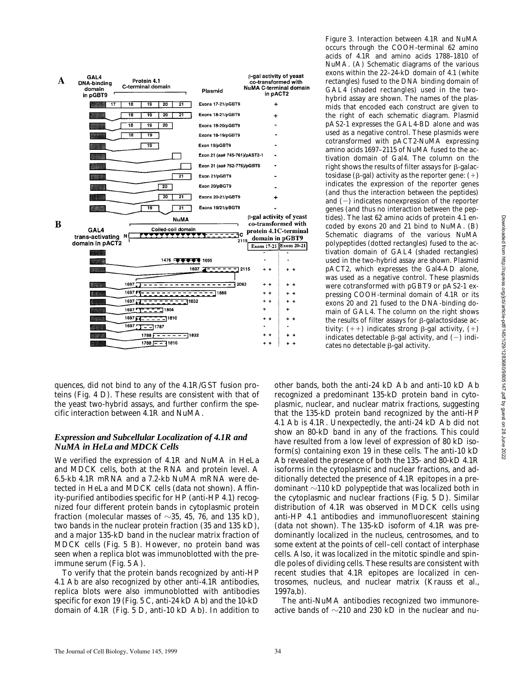

quences, did not bind to any of the 4.1R/GST fusion proteins (Fig. 4 D). These results are consistent with that of the yeast two-hybrid assays, and further confirm the specific interaction between 4.1R and NuMA.

#### *Expression and Subcellular Localization of 4.1R and NuMA in HeLa and MDCK Cells*

We verified the expression of 4.1R and NuMA in HeLa and MDCK cells, both at the RNA and protein level. A 6.5-kb 4.1R mRNA and a 7.2-kb NuMA mRNA were detected in HeLa and MDCK cells (data not shown). Affinity-purified antibodies specific for HP (anti-HP 4.1) recognized four different protein bands in cytoplasmic protein fraction (molecular masses of  $\sim$ 35, 45, 76, and 135 kD), two bands in the nuclear protein fraction (35 and 135 kD), and a major 135-kD band in the nuclear matrix fraction of MDCK cells (Fig. 5 B). However, no protein band was seen when a replica blot was immunoblotted with the preimmune serum (Fig. 5 A).

To verify that the protein bands recognized by anti-HP 4.1 Ab are also recognized by other anti-4.1R antibodies, replica blots were also immunoblotted with antibodies specific for exon 19 (Fig. 5 C, anti-24 kD Ab) and the 10-kD domain of 4.1R (Fig. 5 D, anti-10 kD Ab). In addition to

*Figure 3*. Interaction between 4.1R and NuMA occurs through the COOH-terminal 62 amino acids of 4.1R and amino acids 1788–1810 of NuMA. (A) Schematic diagrams of the various exons within the 22–24-kD domain of 4.1 (white rectangles) fused to the DNA binding domain of GAL4 (shaded rectangles) used in the twohybrid assay are shown. The names of the plasmids that encoded each construct are given to the right of each schematic diagram. Plasmid pAS2-1 expresses the GAL4-BD alone and was used as a negative control. These plasmids were cotransformed with pACT2-NuMA expressing amino acids 1697–2115 of NuMA fused to the activation domain of Gal4. The column on the right shows the results of filter assays for  $\beta$ -galactosidase ( $\beta$ -gal) activity as the reporter gene:  $(+)$ indicates the expression of the reporter genes (and thus the interaction between the peptides) and  $(-)$  indicates nonexpression of the reporter genes (and thus no interaction between the peptides). The last 62 amino acids of protein 4.1 encoded by exons 20 and 21 bind to NuMA. (B) Schematic diagrams of the various NuMA polypeptides (dotted rectangles) fused to the activation domain of GAL4 (shaded rectangles) used in the two-hybrid assay are shown. Plasmid pACT2, which expresses the Gal4-AD alone, was used as a negative control. These plasmids were cotransformed with pGBT9 or pAS2-1 expressing COOH-terminal domain of 4.1R or its exons 20 and 21 fused to the DNA-binding domain of GAL4. The column on the right shows the results of filter assays for  $\beta$ -galactosidase activity:  $(+)$  indicates strong  $\beta$ -gal activity,  $(+)$ indicates detectable  $\beta$ -gal activity, and (-) indicates no detectable  $\beta$ -gal activity.

other bands, both the anti-24 kD Ab and anti-10 kD Ab recognized a predominant 135-kD protein band in cytoplasmic, nuclear, and nuclear matrix fractions, suggesting that the 135-kD protein band recognized by the anti-HP 4.1 Ab is 4.1R. Unexpectedly, the anti-24 kD Ab did not show an 80-kD band in any of the fractions. This could have resulted from a low level of expression of 80 kD isoform(s) containing exon 19 in these cells. The anti-10 kD Ab revealed the presence of both the 135- and 80-kD 4.1R isoforms in the cytoplasmic and nuclear fractions, and additionally detected the presence of 4.1R epitopes in a predominant  $\sim$ 110 kD polypeptide that was localized both in the cytoplasmic and nuclear fractions (Fig. 5 D). Similar distribution of 4.1R was observed in MDCK cells using anti-HP 4.1 antibodies and immunofluorescent staining (data not shown). The 135-kD isoform of 4.1R was predominantly localized in the nucleus, centrosomes, and to some extent at the points of cell–cell contact of interphase cells. Also, it was localized in the mitotic spindle and spindle poles of dividing cells. These results are consistent with recent studies that 4.1R epitopes are localized in centrosomes, nucleus, and nuclear matrix (Krauss et al., 1997a,b).

The anti-NuMA antibodies recognized two immunoreactive bands of  $\sim$ 210 and 230 kD in the nuclear and nu-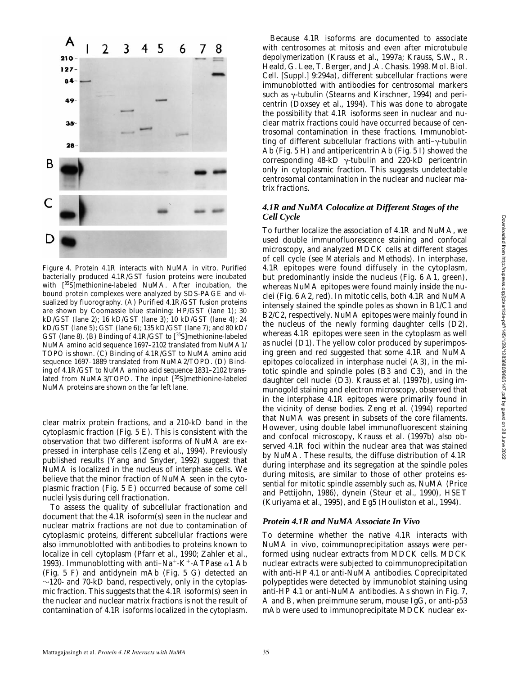

*Figure 4.* Protein 4.1R interacts with NuMA in vitro. Purified bacterially produced 4.1R/GST fusion proteins were incubated with [35S]methionine-labeled NuMA. After incubation, the bound protein complexes were analyzed by SDS-PAGE and visualized by fluorography. (A) Purified 4.1R/GST fusion proteins are shown by Coomassie blue staining: HP/GST (lane 1); 30 kD/GST (lane 2); 16 kD/GST (lane 3); 10 kD/GST (lane 4); 24 kD/GST (lane 5); GST (lane 6); 135 kD/GST (lane 7); and 80 kD/ GST (lane 8). (B) Binding of 4.1R/GST to [35S]methionine-labeled NuMA amino acid sequence 1697–2102 translated from NuMA1/ TOPO is shown. (C) Binding of 4.1R/GST to NuMA amino acid sequence 1697–1889 translated from NuMA2/TOPO. (D) Binding of 4.1R/GST to NuMA amino acid sequence 1831–2102 translated from NuMA3/TOPO. The input [35S]methionine-labeled NuMA proteins are shown on the far left lane.

clear matrix protein fractions, and a 210-kD band in the cytoplasmic fraction (Fig. 5 E). This is consistent with the observation that two different isoforms of NuMA are expressed in interphase cells (Zeng et al., 1994). Previously published results (Yang and Snyder, 1992) suggest that NuMA is localized in the nucleus of interphase cells. We believe that the minor fraction of NuMA seen in the cytoplasmic fraction (Fig. 5 E) occurred because of some cell nuclei lysis during cell fractionation.

To assess the quality of subcellular fractionation and document that the 4.1R isoform(s) seen in the nuclear and nuclear matrix fractions are not due to contamination of cytoplasmic proteins, different subcellular fractions were also immunoblotted with antibodies to proteins known to localize in cell cytoplasm (Pfarr et al., 1990; Zahler et al., 1993). Immunoblotting with anti-Na<sup>+</sup>-K<sup>+</sup>-ATPase  $\alpha$ 1 Ab (Fig. 5 F) and antidynein mAb (Fig. 5 G) detected an  $\sim$ 120- and 70-kD band, respectively, only in the cytoplasmic fraction. This suggests that the 4.1R isoform(s) seen in the nuclear and nuclear matrix fractions is not the result of contamination of 4.1R isoforms localized in the cytoplasm.

Because 4.1R isoforms are documented to associate with centrosomes at mitosis and even after microtubule depolymerization (Krauss et al., 1997a; Krauss, S.W., R. Heald, G. Lee, T. Berger, and J.A. Chasis. 1998. *Mol. Biol. Cell.* [Suppl.] 9:294a), different subcellular fractions were immunoblotted with antibodies for centrosomal markers such as  $\gamma$ -tubulin (Stearns and Kirschner, 1994) and pericentrin (Doxsey et al., 1994). This was done to abrogate the possibility that 4.1R isoforms seen in nuclear and nuclear matrix fractions could have occurred because of centrosomal contamination in these fractions. Immunoblotting of different subcellular fractions with anti- $\gamma$ -tubulin Ab (Fig. 5 H) and antipericentrin Ab (Fig. 5 I) showed the corresponding  $48-kD$   $\gamma$ -tubulin and 220-kD pericentrin only in cytoplasmic fraction. This suggests undetectable centrosomal contamination in the nuclear and nuclear matrix fractions.

#### *4.1R and NuMA Colocalize at Different Stages of the Cell Cycle*

To further localize the association of 4.1R and NuMA, we used double immunofluorescence staining and confocal microscopy, and analyzed MDCK cells at different stages of cell cycle (see Materials and Methods). In interphase, 4.1R epitopes were found diffusely in the cytoplasm, but predominantly inside the nucleus (Fig. 6 A1, green), whereas NuMA epitopes were found mainly inside the nuclei (Fig. 6 A2, red). In mitotic cells, both 4.1R and NuMA intensely stained the spindle poles as shown in B1/C1 and B2/C2, respectively. NuMA epitopes were mainly found in the nucleus of the newly forming daughter cells (D2), whereas 4.1R epitopes were seen in the cytoplasm as well as nuclei (D1). The yellow color produced by superimposing green and red suggested that some 4.1R and NuMA epitopes colocalized in interphase nuclei (A3), in the mitotic spindle and spindle poles (B3 and C3), and in the daughter cell nuclei (D3). Krauss et al. (1997b), using immunogold staining and electron microscopy, observed that in the interphase 4.1R epitopes were primarily found in the vicinity of dense bodies. Zeng et al. (1994) reported that NuMA was present in subsets of the core filaments. However, using double label immunofluorescent staining and confocal microscopy, Krauss et al. (1997b) also observed 4.1R foci within the nuclear area that was stained by NuMA. These results, the diffuse distribution of 4.1R during interphase and its segregation at the spindle poles during mitosis, are similar to those of other proteins essential for mitotic spindle assembly such as, NuMA (Price and Pettijohn, 1986), dynein (Steur et al., 1990), HSET (Kuriyama et al., 1995), and Eg5 (Houliston et al., 1994).

#### *Protein 4.1R and NuMA Associate In Vivo*

To determine whether the native 4.1R interacts with NuMA in vivo, coimmunoprecipitation assays were performed using nuclear extracts from MDCK cells. MDCK nuclear extracts were subjected to coimmunoprecipitation with anti-HP 4.1 or anti-NuMA antibodies. Coprecipitated polypeptides were detected by immunoblot staining using anti-HP 4.1 or anti-NuMA antibodies. As shown in Fig. 7, A and B, when preimmune serum, mouse IgG, or anti-p53 mAb were used to immunoprecipitate MDCK nuclear ex-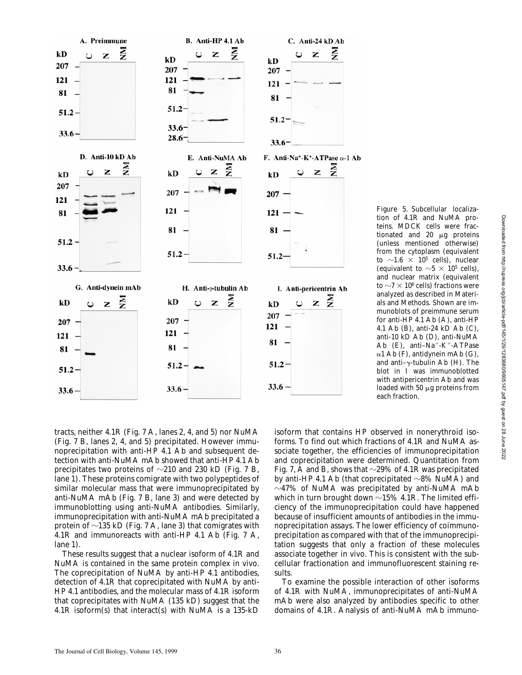

isoform that contains HP observed in nonerythroid isoforms. To find out which fractions of 4.1R and NuMA associate together, the efficiencies of immunoprecipitation and coprecipitation were determined. Quantitation from Fig. 7, A and B, shows that  $\sim$ 29% of 4.1R was precipitated by anti-HP 4.1 Ab (that coprecipitated  $\sim$ 8% NuMA) and  $\sim$ 47% of NuMA was precipitated by anti-NuMA mAb which in turn brought down  $\sim$ 15% 4.1R. The limited efficiency of the immunoprecipitation could have happened because of insufficient amounts of antibodies in the immunoprecipitation assays. The lower efficiency of coimmunoprecipitation as compared with that of the immunoprecipitation suggests that only a fraction of these molecules associate together in vivo. This is consistent with the subcellular fractionation and immunofluorescent staining results. each fraction.

*Figure 5.* Subcellular localization of 4.1R and NuMA proteins. MDCK cells were fractionated and  $20 \mu g$  proteins (unless mentioned otherwise) from the cytoplasm (equivalent to  $\sim$ 1.6  $\times$  10 $^{5}$  cells), nuclear (equivalent to  $\sim$  5  $\times$  10<sup>5</sup> cells), and nuclear matrix (equivalent to  ${\sim}7 \times 10^6$  cells) fractions were analyzed as described in Materials and Methods. Shown are immunoblots of preimmune serum for anti-HP 4.1 Ab (A), anti-HP 4.1 Ab (B), anti-24 kD Ab (C), anti-10 kD Ab (D), anti-NuMA Ab  $(E)$ , anti-Na<sup>+</sup>-K<sup>+</sup>-ATPase  $\alpha$ 1 Ab (F), antidynein mAb (G), and anti- $\gamma$ -tubulin Ab (H). The blot in I was immunoblotted with antipericentrin Ab and was loaded with  $50 \mu$ g proteins from

To examine the possible interaction of other isoforms of 4.1R with NuMA, immunoprecipitates of anti-NuMA mAb were also analyzed by antibodies specific to other domains of 4.1R. Analysis of anti-NuMA mAb immuno-

tracts, neither 4.1R (Fig. 7 A, lanes 2, 4, and 5) nor NuMA (Fig. 7 B, lanes 2, 4, and 5) precipitated. However immunoprecipitation with anti-HP 4.1 Ab and subsequent detection with anti-NuMA mAb showed that anti-HP 4.1 Ab precipitates two proteins of  $\sim$ 210 and 230 kD (Fig. 7 B, lane 1). These proteins comigrate with two polypeptides of similar molecular mass that were immunoprecipitated by anti-NuMA mAb (Fig. 7 B, lane 3) and were detected by immunoblotting using anti-NuMA antibodies. Similarly, immunoprecipitation with anti-NuMA mAb precipitated a protein of  $\sim$ 135 kD (Fig. 7 A, lane 3) that comigrates with 4.1R and immunoreacts with anti-HP 4.1 Ab (Fig. 7 A, lane 1).

These results suggest that a nuclear isoform of 4.1R and NuMA is contained in the same protein complex in vivo. The coprecipitation of NuMA by anti-HP 4.1 antibodies, detection of 4.1R that coprecipitated with NuMA by anti-HP 4.1 antibodies, and the molecular mass of 4.1R isoform that coprecipitates with NuMA (135 kD) suggest that the 4.1R isoform(s) that interact(s) with NuMA is a 135-kD

The Journal of Cell Biology, Volume 145, 1999 36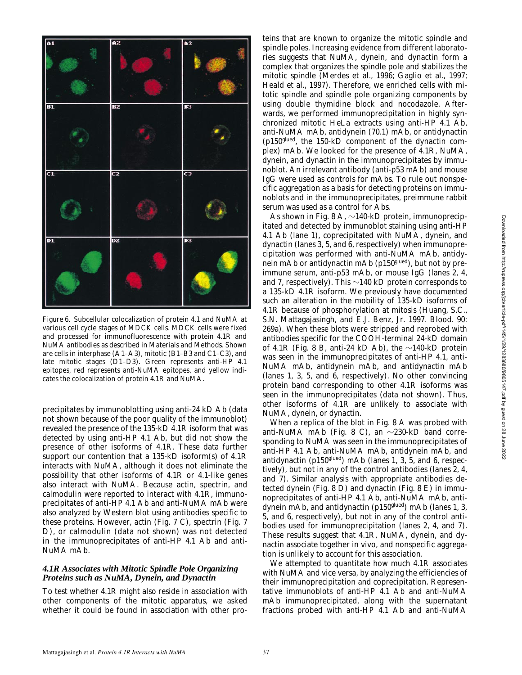

*Figure 6.* Subcellular colocalization of protein 4.1 and NuMA at various cell cycle stages of MDCK cells. MDCK cells were fixed and processed for immunofluorescence with protein 4.1R and NuMA antibodies as described in Materials and Methods. Shown are cells in interphase (A1–A3), mitotic (B1–B3 and C1–C3), and late mitotic stages (D1–D3). Green represents anti-HP 4.1 epitopes, red represents anti-NuMA epitopes, and yellow indicates the colocalization of protein 4.1R and NuMA.

precipitates by immunoblotting using anti-24 kD Ab (data not shown because of the poor quality of the immunoblot) revealed the presence of the 135-kD 4.1R isoform that was detected by using anti-HP 4.1 Ab, but did not show the presence of other isoforms of 4.1R. These data further support our contention that a 135-kD isoform(s) of 4.1R interacts with NuMA, although it does not eliminate the possibility that other isoforms of 4.1R or 4.1-like genes also interact with NuMA. Because actin, spectrin, and calmodulin were reported to interact with 4.1R, immunoprecipitates of anti-HP 4.1 Ab and anti-NuMA mAb were also analyzed by Western blot using antibodies specific to these proteins. However, actin (Fig. 7 C), spectrin (Fig. 7 D), or calmodulin (data not shown) was not detected in the immunoprecipitates of anti-HP 4.1 Ab and anti-NuMA mAb.

#### *4.1R Associates with Mitotic Spindle Pole Organizing Proteins such as NuMA, Dynein, and Dynactin*

To test whether 4.1R might also reside in association with other components of the mitotic apparatus, we asked whether it could be found in association with other pro-

teins that are known to organize the mitotic spindle and spindle poles. Increasing evidence from different laboratories suggests that NuMA, dynein, and dynactin form a complex that organizes the spindle pole and stabilizes the mitotic spindle (Merdes et al., 1996; Gaglio et al., 1997; Heald et al., 1997). Therefore, we enriched cells with mitotic spindle and spindle pole organizing components by using double thymidine block and nocodazole. Afterwards, we performed immunoprecipitation in highly synchronized mitotic HeLa extracts using anti-HP 4.1 Ab, anti-NuMA mAb, antidynein (70.1) mAb, or antidynactin (p150glued, the 150-kD component of the dynactin complex) mAb. We looked for the presence of 4.1R, NuMA, dynein, and dynactin in the immunoprecipitates by immunoblot. An irrelevant antibody (anti-p53 mAb) and mouse IgG were used as controls for mAbs. To rule out nonspecific aggregation as a basis for detecting proteins on immunoblots and in the immunoprecipitates, preimmune rabbit serum was used as a control for Abs.

As shown in Fig. 8 A,  $\sim$ 140-kD protein, immunoprecipitated and detected by immunoblot staining using anti-HP 4.1 Ab (lane 1), coprecipitated with NuMA, dynein, and dynactin (lanes 3, 5, and 6, respectively) when immunoprecipitation was performed with anti-NuMA mAb, antidynein mAb or antidynactin mAb (p150<sup>glued</sup>), but not by preimmune serum, anti-p53 mAb, or mouse IgG (lanes 2, 4, and 7, respectively). This  $\sim$ 140 kD protein corresponds to a 135-kD 4.1R isoform. We previously have documented such an alteration in the mobility of 135-kD isoforms of 4.1R because of phosphorylation at mitosis (Huang, S.C., S.N. Mattagajasingh, and E.J. Benz, Jr. 1997. *Blood.* 90: 269a). When these blots were stripped and reprobed with antibodies specific for the COOH-terminal 24-kD domain of 4.1R (Fig. 8 B, anti-24 kD Ab), the  $\sim$ 140-kD protein was seen in the immunoprecipitates of anti-HP 4.1, anti-NuMA mAb, antidynein mAb, and antidynactin mAb (lanes 1, 3, 5, and 6, respectively). No other convincing protein band corresponding to other 4.1R isoforms was seen in the immunoprecipitates (data not shown). Thus, other isoforms of 4.1R are unlikely to associate with NuMA, dynein, or dynactin.

When a replica of the blot in Fig. 8 A was probed with anti-NuMA mAb (Fig. 8 C), an  $\sim$ 230-kD band corresponding to NuMA was seen in the immunoprecipitates of anti-HP 4.1 Ab, anti-NuMA mAb, antidynein mAb, and antidynactin (p150<sup>glued</sup>) mAb (lanes 1, 3, 5, and 6, respectively), but not in any of the control antibodies (lanes 2, 4, and 7). Similar analysis with appropriate antibodies detected dynein (Fig. 8 D) and dynactin (Fig. 8 E) in immunoprecipitates of anti-HP 4.1 Ab, anti-NuMA mAb, antidynein mAb, and antidynactin (p150<sup>glued</sup>) mAb (lanes 1, 3, 5, and 6, respectively), but not in any of the control antibodies used for immunoprecipitation (lanes 2, 4, and 7). These results suggest that 4.1R, NuMA, dynein, and dynactin associate together in vivo, and nonspecific aggregation is unlikely to account for this association.

We attempted to quantitate how much 4.1R associates with NuMA and vice versa, by analyzing the efficiencies of their immunoprecipitation and coprecipitation. Representative immunoblots of anti-HP 4.1 Ab and anti-NuMA mAb immunoprecipitated, along with the supernatant fractions probed with anti-HP 4.1 Ab and anti-NuMA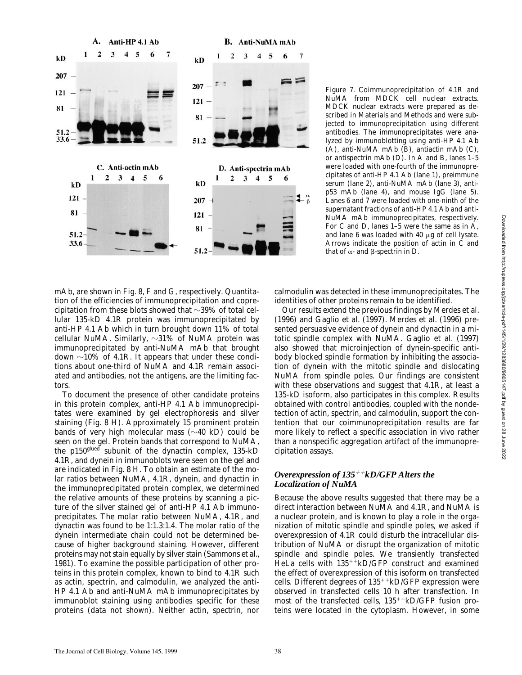

*Figure 7.* Coimmunoprecipitation of 4.1R and NuMA from MDCK cell nuclear extracts. MDCK nuclear extracts were prepared as described in Materials and Methods and were subjected to immunoprecipitation using different antibodies. The immunoprecipitates were analyzed by immunoblotting using anti-HP 4.1 Ab (A), anti-NuMA mAb (B), antiactin mAb (C), or antispectrin mAb (D). In A and B, lanes 1–5 were loaded with one-fourth of the immunoprecipitates of anti-HP 4.1 Ab (lane 1), preimmune serum (lane 2), anti-NuMA mAb (lane 3), antip53 mAb (lane 4), and mouse IgG (lane 5). Lanes 6 and 7 were loaded with one-ninth of the supernatant fractions of anti-HP 4.1 Ab and anti-NuMA mAb immunoprecipitates, respectively. For C and D, lanes 1–5 were the same as in A, and lane 6 was loaded with 40  $\mu$ g of cell lysate. Arrows indicate the position of actin in C and that of  $\alpha$ - and  $\beta$ -spectrin in D.

mAb, are shown in Fig. 8, F and G, respectively. Quantitation of the efficiencies of immunoprecipitation and coprecipitation from these blots showed that  $\sim$ 39% of total cellular 135-kD 4.1R protein was immunoprecipitated by anti-HP 4.1 Ab which in turn brought down 11% of total cellular NuMA. Similarly,  $\sim$ 31% of NuMA protein was immunoprecipitated by anti-NuMA mAb that brought down  $\sim$ 10% of 4.1R. It appears that under these conditions about one-third of NuMA and 4.1R remain associated and antibodies, not the antigens, are the limiting factors.

To document the presence of other candidate proteins in this protein complex, anti-HP 4.1 Ab immunoprecipitates were examined by gel electrophoresis and silver staining (Fig. 8 H). Approximately 15 prominent protein bands of very high molecular mass  $(\sim 40 \text{ kD})$  could be seen on the gel. Protein bands that correspond to NuMA, the p150<sup>glued</sup> subunit of the dynactin complex, 135-kD 4.1R, and dynein in immunoblots were seen on the gel and are indicated in Fig. 8 H. To obtain an estimate of the molar ratios between NuMA, 4.1R, dynein, and dynactin in the immunoprecipitated protein complex, we determined the relative amounts of these proteins by scanning a picture of the silver stained gel of anti-HP 4.1 Ab immunoprecipitates. The molar ratio between NuMA, 4.1R, and dynactin was found to be 1:1.3:1.4. The molar ratio of the dynein intermediate chain could not be determined because of higher background staining. However, different proteins may not stain equally by silver stain (Sammons et al., 1981). To examine the possible participation of other proteins in this protein complex, known to bind to 4.1R such as actin, spectrin, and calmodulin, we analyzed the anti-HP 4.1 Ab and anti-NuMA mAb immunoprecipitates by immunoblot staining using antibodies specific for these proteins (data not shown). Neither actin, spectrin, nor

calmodulin was detected in these immunoprecipitates. The identities of other proteins remain to be identified.

Our results extend the previous findings by Merdes et al. (1996) and Gaglio et al. (1997). Merdes et al. (1996) presented persuasive evidence of dynein and dynactin in a mitotic spindle complex with NuMA. Gaglio et al. (1997) also showed that microinjection of dynein-specific antibody blocked spindle formation by inhibiting the association of dynein with the mitotic spindle and dislocating NuMA from spindle poles. Our findings are consistent with these observations and suggest that 4.1R, at least a 135-kD isoform, also participates in this complex. Results obtained with control antibodies, coupled with the nondetection of actin, spectrin, and calmodulin, support the contention that our coimmunoprecipitation results are far more likely to reflect a specific association in vivo rather than a nonspecific aggregation artifact of the immunoprecipitation assays.

#### *Overexpression of 135<sup>++</sup>kD/GFP Alters the Localization of NuMA*

Because the above results suggested that there may be a direct interaction between NuMA and 4.1R, and NuMA is a nuclear protein, and is known to play a role in the organization of mitotic spindle and spindle poles, we asked if overexpression of 4.1R could disturb the intracellular distribution of NuMA or disrupt the organization of mitotic spindle and spindle poles. We transiently transfected HeLa cells with  $135^{++}kD/GFP$  construct and examined the effect of overexpression of this isoform on transfected cells. Different degrees of  $135^{++}$ kD/GFP expression were observed in transfected cells 10 h after transfection. In most of the transfected cells,  $135^{++}$ kD/GFP fusion proteins were located in the cytoplasm. However, in some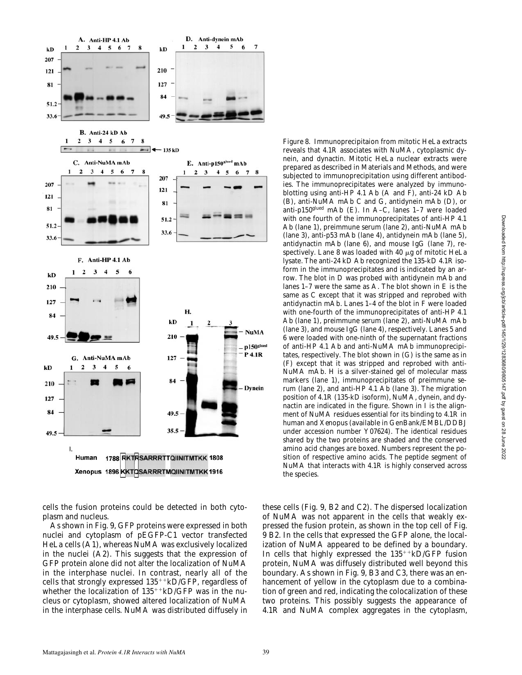

cells the fusion proteins could be detected in both cytoplasm and nucleus.

As shown in Fig. 9, GFP proteins were expressed in both nuclei and cytoplasm of pEGFP-C1 vector transfected HeLa cells (A1), whereas NuMA was exclusively localized in the nuclei (A2). This suggests that the expression of GFP protein alone did not alter the localization of NuMA in the interphase nuclei. In contrast, nearly all of the cells that strongly expressed  $135^{++}kD/GFP$ , regardless of whether the localization of  $135^{++}$ kD/GFP was in the nucleus or cytoplasm, showed altered localization of NuMA in the interphase cells. NuMA was distributed diffusely in

*Figure 8*. Immunoprecipitaion from mitotic HeLa extracts reveals that 4.1R associates with NuMA, cytoplasmic dynein, and dynactin. Mitotic HeLa nuclear extracts were prepared as described in Materials and Methods, and were subjected to immunoprecipitation using different antibodies. The immunoprecipitates were analyzed by immunoblotting using anti-HP 4.1 Ab (A and F), anti-24 kD Ab (B), anti-NuMA mAb C and G, antidynein mAb (D), or anti-p150glued mAb (E). In A–C, lanes 1–7 were loaded with one fourth of the immunoprecipitates of anti-HP 4.1 Ab (lane 1), preimmune serum (lane 2), anti-NuMA mAb (lane 3), anti-p53 mAb (lane 4), antidynein mAb (lane 5), antidynactin mAb (lane 6), and mouse IgG (lane 7), respectively. Lane 8 was loaded with 40  $\mu$ g of mitotic HeLa lysate. The anti-24 kD Ab recognized the 135-kD 4.1R isoform in the immunoprecipitates and is indicated by an arrow. The blot in D was probed with antidynein mAb and lanes 1–7 were the same as A. The blot shown in E is the same as C except that it was stripped and reprobed with antidynactin mAb. Lanes 1–4 of the blot in F were loaded with one-fourth of the immunoprecipitates of anti-HP 4.1 Ab (lane 1), preimmune serum (lane 2), anti-NuMA mAb (lane 3), and mouse IgG (lane 4), respectively. Lanes 5 and 6 were loaded with one-ninth of the supernatant fractions of anti-HP 4.1 Ab and anti-NuMA mAb immunoprecipitates, respectively. The blot shown in (G) is the same as in (F) except that it was stripped and reprobed with anti-NuMA mAb. H is a silver-stained gel of molecular mass markers (lane 1), immunoprecipitates of preimmune serum (lane 2), and anti-HP 4.1 Ab (lane 3). The migration position of 4.1R (135-kD isoform), NuMA, dynein, and dynactin are indicated in the figure. Shown in I is the alignment of NuMA residues essential for its binding to 4.1R in human and *Xenopus* (available in GenBank/EMBL/DDBJ under accession number Y07624). The identical residues shared by the two proteins are shaded and the conserved amino acid changes are boxed. Numbers represent the position of respective amino acids. The peptide segment of NuMA that interacts with 4.1R is highly conserved across the species.

these cells (Fig. 9, B2 and C2). The dispersed localization of NuMA was not apparent in the cells that weakly expressed the fusion protein, as shown in the top cell of Fig. 9 B2. In the cells that expressed the GFP alone, the localization of NuMA appeared to be defined by a boundary. In cells that highly expressed the  $135^{++}$ kD/GFP fusion protein, NuMA was diffusely distributed well beyond this boundary. As shown in Fig. 9, B3 and C3, there was an enhancement of yellow in the cytoplasm due to a combination of green and red, indicating the colocalization of these two proteins. This possibly suggests the appearance of 4.1R and NuMA complex aggregates in the cytoplasm,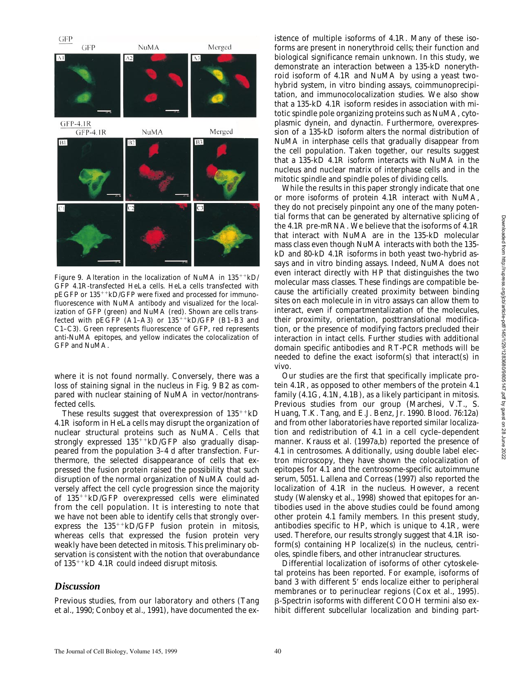

*Figure 9.* Alteration in the localization of NuMA in  $135^{++}kD/$ GFP 4.1R-transfected HeLa cells. HeLa cells transfected with  $pEGFP$  or  $135^{++}kD/GFP$  were fixed and processed for immunofluorescence with NuMA antibody and visualized for the localization of GFP (green) and NuMA (red). Shown are cells transfected with  $p \to GFP$  (A1–A3) or 135<sup>++</sup>kD/GFP (B1–B3 and C1–C3). Green represents fluorescence of GFP, red represents anti-NuMA epitopes, and yellow indicates the colocalization of GFP and NuMA.

where it is not found normally. Conversely, there was a loss of staining signal in the nucleus in Fig. 9 B2 as compared with nuclear staining of NuMA in vector/nontransfected cells.

These results suggest that overexpression of  $135^{+1}$ kD 4.1R isoform in HeLa cells may disrupt the organization of nuclear structural proteins such as NuMA. Cells that strongly expressed  $135^{++}kD/GFP$  also gradually disappeared from the population 3–4 d after transfection. Furthermore, the selected disappearance of cells that expressed the fusion protein raised the possibility that such disruption of the normal organization of NuMA could adversely affect the cell cycle progression since the majority of  $135^{++}$ kD/GFP overexpressed cells were eliminated from the cell population. It is interesting to note that we have not been able to identify cells that strongly overexpress the  $135^{++}$ kD/GFP fusion protein in mitosis, whereas cells that expressed the fusion protein very weakly have been detected in mitosis. This preliminary observation is consistent with the notion that overabundance of  $135^{++}$ kD 4.1R could indeed disrupt mitosis.

## *Discussion*

Previous studies, from our laboratory and others (Tang et al., 1990; Conboy et al., 1991), have documented the existence of multiple isoforms of 4.1R. Many of these isoforms are present in nonerythroid cells; their function and biological significance remain unknown. In this study, we demonstrate an interaction between a 135-kD nonerythroid isoform of 4.1R and NuMA by using a yeast twohybrid system, in vitro binding assays, coimmunoprecipitation, and immunocolocalization studies. We also show that a 135-kD 4.1R isoform resides in association with mitotic spindle pole organizing proteins such as NuMA, cytoplasmic dynein, and dynactin. Furthermore, overexpression of a 135-kD isoform alters the normal distribution of NuMA in interphase cells that gradually disappear from the cell population. Taken together, our results suggest that a 135-kD 4.1R isoform interacts with NuMA in the nucleus and nuclear matrix of interphase cells and in the mitotic spindle and spindle poles of dividing cells.

While the results in this paper strongly indicate that one or more isoforms of protein 4.1R interact with NuMA, they do not precisely pinpoint any one of the many potential forms that can be generated by alternative splicing of the 4.1R pre-mRNA. We believe that the isoforms of 4.1R that interact with NuMA are in the 135-kD molecular mass class even though NuMA interacts with both the 135 kD and 80-kD 4.1R isoforms in both yeast two-hybrid assays and in vitro binding assays. Indeed, NuMA does not even interact directly with HP that distinguishes the two molecular mass classes. These findings are compatible because the artificially created proximity between binding sites on each molecule in in vitro assays can allow them to interact, even if compartmentalization of the molecules, their proximity, orientation, posttranslational modification, or the presence of modifying factors precluded their interaction in intact cells. Further studies with additional domain specific antibodies and RT-PCR methods will be needed to define the exact isoform(s) that interact(s) in vivo.

Our studies are the first that specifically implicate protein 4.1R, as opposed to other members of the protein 4.1 family (4.1G, 4.1N, 4.1B), as a likely participant in mitosis. Previous studies from our group (Marchesi, V.T., S. Huang, T.K. Tang, and E.J. Benz, Jr. 1990. *Blood*. 76:12a) and from other laboratories have reported similar localization and redistribution of 4.1 in a cell cycle–dependent manner. Krauss et al. (1997a,b) reported the presence of 4.1 in centrosomes. Additionally, using double label electron microscopy, they have shown the colocalization of epitopes for 4.1 and the centrosome-specific autoimmune serum, 5051. Lallena and Correas (1997) also reported the localization of 4.1R in the nucleus. However, a recent study (Walensky et al., 1998) showed that epitopes for antibodies used in the above studies could be found among other protein 4.1 family members. In this present study, antibodies specific to HP, which is unique to 4.1R, were used. Therefore, our results strongly suggest that 4.1R isoform(s) containing HP localize(s) in the nucleus, centrioles, spindle fibers, and other intranuclear structures.

Differential localization of isoforms of other cytoskeletal proteins has been reported. For example, isoforms of band 3 with different 5' ends localize either to peripheral membranes or to perinuclear regions (Cox et al., 1995). b-Spectrin isoforms with different COOH termini also exhibit different subcellular localization and binding part-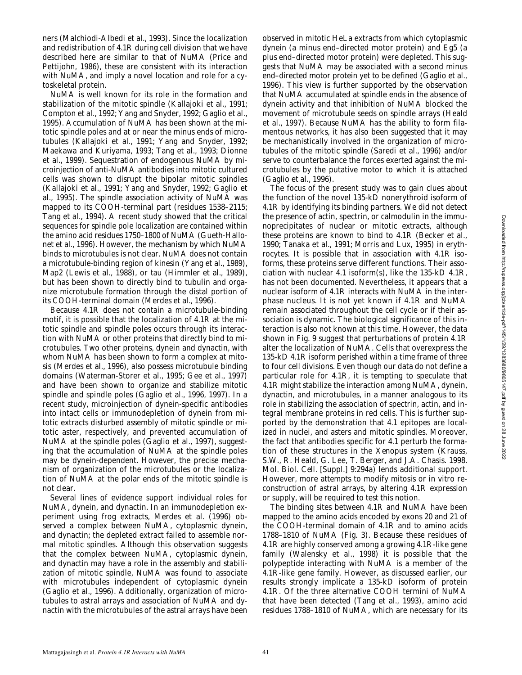ners (Malchiodi-Albedi et al., 1993). Since the localization and redistribution of 4.1R during cell division that we have described here are similar to that of NuMA (Price and Pettijohn, 1986), these are consistent with its interaction with NuMA, and imply a novel location and role for a cytoskeletal protein.

NuMA is well known for its role in the formation and stabilization of the mitotic spindle (Kallajoki et al., 1991; Compton et al., 1992; Yang and Snyder, 1992; Gaglio et al., 1995). Accumulation of NuMA has been shown at the mitotic spindle poles and at or near the minus ends of microtubules (Kallajoki et al., 1991; Yang and Snyder, 1992; Maekawa and Kuriyama, 1993; Tang et al., 1993; Dionne et al., 1999). Sequestration of endogenous NuMA by microinjection of anti-NuMA antibodies into mitotic cultured cells was shown to disrupt the bipolar mitotic spindles (Kallajoki et al., 1991; Yang and Snyder, 1992; Gaglio et al., 1995). The spindle association activity of NuMA was mapped to its COOH-terminal part (residues 1538–2115; Tang et al., 1994). A recent study showed that the critical sequences for spindle pole localization are contained within the amino acid residues 1750–1800 of NuMA (Gueth-Hallonet et al., 1996). However, the mechanism by which NuMA binds to microtubules is not clear. NuMA does not contain a microtubule-binding region of kinesin (Yang et al., 1989), Map2 (Lewis et al., 1988), or tau (Himmler et al., 1989), but has been shown to directly bind to tubulin and organize microtubule formation through the distal portion of its COOH-terminal domain (Merdes et al., 1996).

Because 4.1R does not contain a microtubule-binding motif, it is possible that the localization of 4.1R at the mitotic spindle and spindle poles occurs through its interaction with NuMA or other proteins that directly bind to microtubules. Two other proteins, dynein and dynactin, with whom NuMA has been shown to form a complex at mitosis (Merdes et al., 1996), also possess microtubule binding domains (Waterman-Storer et al., 1995; Gee et al., 1997) and have been shown to organize and stabilize mitotic spindle and spindle poles (Gaglio et al., 1996, 1997). In a recent study, microinjection of dynein-specific antibodies into intact cells or immunodepletion of dynein from mitotic extracts disturbed assembly of mitotic spindle or mitotic aster, respectively, and prevented accumulation of NuMA at the spindle poles (Gaglio et al., 1997), suggesting that the accumulation of NuMA at the spindle poles may be dynein-dependent. However, the precise mechanism of organization of the microtubules or the localization of NuMA at the polar ends of the mitotic spindle is not clear.

Several lines of evidence support individual roles for NuMA, dynein, and dynactin. In an immunodepletion experiment using frog extracts, Merdes et al. (1996) observed a complex between NuMA, cytoplasmic dynein, and dynactin; the depleted extract failed to assemble normal mitotic spindles. Although this observation suggests that the complex between NuMA, cytoplasmic dynein, and dynactin may have a role in the assembly and stabilization of mitotic spindle, NuMA was found to associate with microtubules independent of cytoplasmic dynein (Gaglio et al., 1996). Additionally, organization of microtubules to astral arrays and association of NuMA and dynactin with the microtubules of the astral arrays have been

observed in mitotic HeLa extracts from which cytoplasmic dynein (a minus end–directed motor protein) and Eg5 (a plus end–directed motor protein) were depleted. This suggests that NuMA may be associated with a second minus end–directed motor protein yet to be defined (Gaglio et al., 1996). This view is further supported by the observation that NuMA accumulated at spindle ends in the absence of dynein activity and that inhibition of NuMA blocked the movement of microtubule seeds on spindle arrays (Heald et al., 1997). Because NuMA has the ability to form filamentous networks, it has also been suggested that it may be mechanistically involved in the organization of microtubules of the mitotic spindle (Saredi et al., 1996) and/or serve to counterbalance the forces exerted against the microtubules by the putative motor to which it is attached (Gaglio et al., 1996).

The focus of the present study was to gain clues about the function of the novel 135-kD nonerythroid isoform of 4.1R by identifying its binding partners. We did not detect the presence of actin, spectrin, or calmodulin in the immunoprecipitates of nuclear or mitotic extracts, although these proteins are known to bind to 4.1R (Becker et al., 1990; Tanaka et al., 1991; Morris and Lux, 1995) in erythrocytes. It is possible that in association with 4.1R isoforms, these proteins serve different functions. Their association with nuclear 4.1 isoform(s), like the 135-kD 4.1R, has not been documented. Nevertheless, it appears that a nuclear isoform of 4.1R interacts with NuMA in the interphase nucleus. It is not yet known if 4.1R and NuMA remain associated throughout the cell cycle or if their association is dynamic. The biological significance of this interaction is also not known at this time. However, the data shown in Fig. 9 suggest that perturbations of protein 4.1R alter the localization of NuMA. Cells that overexpress the 135-kD 4.1R isoform perished within a time frame of three to four cell divisions. Even though our data do not define a particular role for 4.1R, it is tempting to speculate that 4.1R might stabilize the interaction among NuMA, dynein, dynactin, and microtubules, in a manner analogous to its role in stabilizing the association of spectrin, actin, and integral membrane proteins in red cells. This is further supported by the demonstration that 4.1 epitopes are localized in nuclei, and asters and mitotic spindles. Moreover, the fact that antibodies specific for 4.1 perturb the formation of these structures in the *Xenopus* system (Krauss, S.W., R. Heald, G. Lee, T. Berger, and J.A. Chasis. 1998. *Mol. Biol. Cell.* [Suppl.] 9:294a) lends additional support. However, more attempts to modify mitosis or in vitro reconstruction of astral arrays, by altering 4.1R expression or supply, will be required to test this notion.

The binding sites between 4.1R and NuMA have been mapped to the amino acids encoded by exons 20 and 21 of the COOH-terminal domain of 4.1R and to amino acids 1788–1810 of NuMA (Fig. 3). Because these residues of 4.1R are highly conserved among a growing 4.1R-like gene family (Walensky et al., 1998) it is possible that the polypeptide interacting with NuMA is a member of the 4.1R-like gene family. However, as discussed earlier, our results strongly implicate a 135-kD isoform of protein 4.1R. Of the three alternative COOH termini of NuMA that have been detected (Tang et al., 1993), amino acid residues 1788–1810 of NuMA, which are necessary for its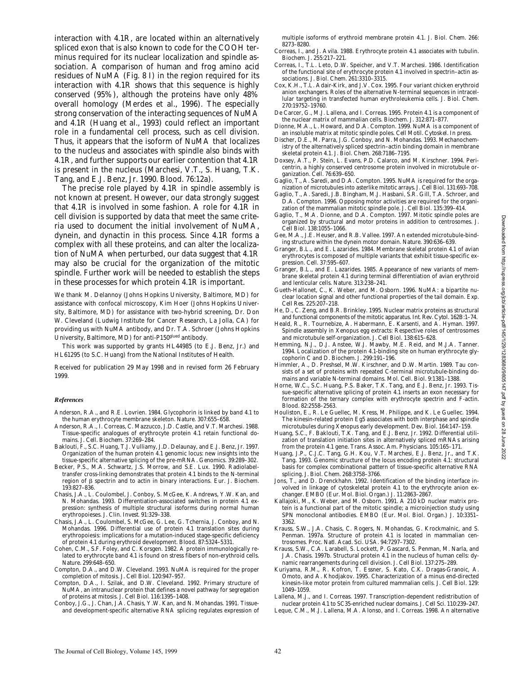interaction with 4.1R, are located within an alternatively spliced exon that is also known to code for the COOH terminus required for its nuclear localization and spindle association. A comparison of human and frog amino acid residues of NuMA (Fig. 8 I) in the region required for its interaction with 4.1R shows that this sequence is highly conserved (95%), although the proteins have only 48% overall homology (Merdes et al., 1996). The especially strong conservation of the interacting sequences of NuMA and 4.1R (Huang et al., 1993) could reflect an important role in a fundamental cell process, such as cell division. Thus, it appears that the isoform of NuMA that localizes to the nucleus and associates with spindle also binds with 4.1R, and further supports our earlier contention that 4.1R is present in the nucleus (Marchesi, V.T., S. Huang, T.K. Tang, and E.J. Benz, Jr. 1990. *Blood*. 76:12a).

The precise role played by 4.1R in spindle assembly is not known at present. However, our data strongly suggest that 4.1R is involved in some fashion. A role for 4.1R in cell division is supported by data that meet the same criteria used to document the initial involvement of NuMA, dynein, and dynactin in this process. Since 4.1R forms a complex with all these proteins, and can alter the localization of NuMA when perturbed, our data suggest that 4.1R may also be crucial for the organization of the mitotic spindle. Further work will be needed to establish the steps in these processes for which protein 4.1R is important.

We thank M. Delannoy (Johns Hopkins University, Baltimore, MD) for assistance with confocal microscopy, Kim Hoer (Johns Hopkins University, Baltimore, MD) for assistance with two-hybrid screening, Dr. Don W. Cleveland (Ludwig Institute for Cancer Research, La Jolla, CA) for providing us with NuMA antibody, and Dr. T.A. Schroer (Johns Hopkins University, Baltimore, MD) for anti-P150glued antibody.

This work was supported by grants HL44985 (to E.J. Benz, Jr.) and HL61295 (to S.C. Huang) from the National Institutes of Health.

Received for publication 29 May 1998 and in revised form 26 February 1999.

#### *References*

Anderson, R.A., and R.E. Lovrien. 1984. Glycophorin is linked by band 4.1 to the human erythrocyte membrane skeleton. *Nature*. 307:655–658.

- Anderson, R.A., I. Correas, C. Mazzucco, J.D. Castle, and V.T. Marchesi. 1988. Tissue-specific analogues of erythrocyte protein 4.1 retain functional domains. *J. Cell. Biochem.* 37:269–284.
- Baklouti, F., S.C. Huang, T.J. Vulliamy, J.D. Delaunay, and E.J. Benz, Jr. 1997. Organization of the human protein 4.1 genomic locus: new insights into the tissue-specific alternative splicing of the pre-mRNA. *Genomics.* 39:289–302.
- Becker, P.S., M.A. Schwartz, J.S. Morrow, and S.E. Lux. 1990. Radiolabeltransfer cross-linking demonstrates that protein 4.1 binds to the N-terminal region of β spectrin and to actin in binary interactions. *Eur. J. Biochem.* 193:827–836.
- Chasis, J.A., L. Coulombel, J. Conboy, S. McGee, K. Andrews, Y.W. Kan, and N. Mohandas. 1993. Differentiation-associated switches in protein 4.1 expression: synthesis of multiple structural isoforms during normal human erythropoieses. *J. Clin. Invest*. 91:329–338.
- Chasis, J.A., L. Coulombel, S. McGee, G. Lee, G. Tchernia, J. Conboy, and N. Mohandas. 1996. Differential use of protein 4.1 translation sites during erythropoiesis: implications for a mutation-induced stage-specific deficiency of protein 4.1 during erythroid development. *Blood.* 87:5324–5331.
- Cohen, C.M., S.F. Foley, and C. Korsgen. 1982. A protein immunologically related to erythrocyte band 4.1 is found on stress fibers of non-erythroid cells. *Nature*. 299:648–650.
- Compton, D.A., and D.W. Cleveland. 1993. NuMA is required for the proper completion of mitosis. *J. Cell Biol.* 120:947–957.
- Compton, D.A., I. Szilak, and D.W. Cleveland. 1992. Primary structure of NuMA, an intranuclear protein that defines a novel pathway for segregation of proteins at mitosis. *J. Cell Biol.* 116:1395–1408.
- Conboy, J.G., J. Chan, J.A. Chasis, Y.W. Kan, and N. Mohandas. 1991. Tissueand development-specific alternative RNA splicing regulates expression of

multiple isoforms of erythroid membrane protein 4.1. *J. Biol. Chem.* 266: 8273–8280.

- Correas, I., and J. Avila. 1988. Erythrocyte protein 4.1 associates with tubulin. *Biochem. J*. 255:217–221.
- Correas, I., T.L. Leto, D.W. Speicher, and V.T. Marchesi. 1986. Identification of the functional site of erythrocyte protein 4.1 involved in spectrin–actin associations. *J. Biol. Chem.* 261:3310–3315.
- Cox, K.H., T.L. Adair-Kirk, and J.V. Cox. 1995. Four variant chicken erythroid anion exchangers. Roles of the alternative N-terminal sequences in intracellular targeting in transfected human erythroleukemia cells. *J. Biol. Chem.* 270:19752–19760.
- De Carcer, G., M.J. Lallena, and I. Correas. 1995. Protein 4.1 is a component of the nuclear matrix of mammalian cells. *Biochem*. *J*. 312:871–877.
- Dionne, M.A., L. Howard, and D.A. Compton. 1999. NuMA is a component of an insoluble matrix at mitotic spindle poles. *Cell Motil. Cytoskel.* In press.
- Discher, D.E., M. Parra, J.G. Conboy, and N. Mohandas. 1993. Mechanochemistry of the alternatively spliced spectrin–actin binding domain in membrane skeletal protein 4.1. *J. Biol. Chem.* 268:7186–7195.
- Doxsey, A.T., P. Stein, L. Evans, P.D. Calarco, and M. Kirschner. 1994. Pericentrin, a highly conserved centrosome protein involved in microtubule organization. *Cell.* 76:639–650.
- Gaglio, T., A. Saredi, and D.A. Compton. 1995. NuMA is required for the organization of microtubules into asterlike mitotic arrays. *J. Cell Biol.* 131:693–708.
- Gaglio, T., A. Saredi, J.B. Bingham, M.J. Hasbani, S.R. Gill, T.A. Schroer, and D.A. Compton. 1996. Opposing motor activities are required for the organization of the mammalian mitotic spindle pole. *J. Cell Biol.* 135:399–414.
- Gaglio, T., M.A. Dionne, and D.A. Compton. 1997. Mitotic spindle poles are organized by structural and motor proteins in addition to centrosomes. *J. Cell Biol.* 138:1055–1066.
- Gee, M.A., J.E. Heuser, and R.B. Vallee. 1997. An extended microtubule-binding structure within the dynein motor domain. *Nature*. 390:636–639.
- Granger, B.L., and E. Lazarides. 1984. Membrane skeletal protein 4.1 of avian erythrocytes is composed of multiple variants that exhibit tissue-specific expression. *Cell.* 37:595–607.
- Granger, B.L., and E. Lazarides. 1985. Appearance of new variants of membrane skeletal protein 4.1 during terminal differentiation of avian erythroid and lenticular cells. *Nature.* 313:238–241.
- Gueth-Hallonet, C., K. Weber, and M. Osborn. 1996. NuMA: a bipartite nuclear location signal and other functional properties of the tail domain. *Exp. Cell Res*. 225:207–218.
- He, D., C. Zeng, and B.R. Brinkley. 1995. Nuclear matrix proteins as structural and functional components of the mitotic apparatus. *Int. Rev. Cytol.* 162B:1–74.
- Heald, R., R. Tournebize, A. Habermann, E. Karsenti, and A. Hyman. 1997. Spindle assembly in *Xenopus* egg extracts: Respective roles of centrosomes and microtubule self-organization. *J. Cell Biol.* 138:615–628.
- Hemming, N.J., D.J. Anstee, W.J. Mawby, M.E. Reid, and M.J.A. Tanner. 1994. Localization of the protein 4.1-binding site on human erythrocyte glycophorin C and D. *Biochem. J.* 299:191–196.
- Himmler, A., D. Preshsel, M.W. Kirschner, and D.W. Martin. 1989. Tau consists of a set of proteins with repeated C-terminal microtubule-binding domains and variable N-terminal domains. *Mol. Cell. Biol.* 9:1381–1388.
- Horne, W.C., S.C. Huang, P.S. Baker, T.K. Tang, and E.J. Benz, Jr. 1993. Tissue-specific alternative splicing of protein 4.1 inserts an exon necessary for formation of the ternary complex with erythrocyte spectrin and F-actin. *Blood*. 82:2558–2563.
- Houliston, E., R. Le Guellec, M. Kress, M. Philippe, and K. Le Guellec. 1994. The kinesin-related protein Eg5 associates with both interphase and spindle microtubules during *Xenopus* early development. *Dev. Biol.* 164:147–159.
- Huang, S.C., F. Baklouti, T.K. Tang, and E.J. Benz, Jr. 1992. Differential utilization of translation initiation sites in alternatively spliced mRNAs arising from the protein 4.1 gene. *Trans. Assoc. Am. Physicians.* 105:165–171.
- Huang, J.P., C.J.C. Tang, G.H. Kou, V.T. Marchesi, E.J. Benz, Jr., and T.K. Tang. 1993. Genomic structure of the locus encoding protein 4.1: structural basis for complex combinational pattern of tissue-specific alternative RNA splicing. *J. Biol. Chem.* 268:3758–3766.
- Jons, T., and D. Drenckhahn. 1992. Identification of the binding interface involved in linkage of cytoskeletal protein 4.1 to the erythrocyte anion exchanger. *EMBO (Eur. Mol. Biol. Organ.) J*. 11:2863–2867.
- Kallajoki, M., K. Weber, and M. Osborn. 1991. A 210 kD nuclear matrix protein is a functional part of the mitotic spindle; a microinjection study using SPN monoclonal antibodies. *EMBO (Eur. Mol. Biol. Organ.) J*. 10:3351– 3362.
- Krauss, S.W., J.A. Chasis, C. Rogers, N. Mohandas, G. Krockmalnic, and S. Penman. 1997a. Structure of protein 4.1 is located in mammalian centrosomes. *Proc. Natl. Acad. Sci. USA.* 94:7297–7302.
- Krauss, S.W., C.A. Larabell, S. Lockett, P. Gascard, S. Penman, M. Narla, and J.A. Chasis. 1997b. Structural protein 4.1 in the nucleus of human cells: dynamic rearrangements during cell division. *J. Cell Biol.* 137:275–289.
- Kuriyama, R.M., R. Kofron, T. Essner, S. Kato, C.K. Dragas-Granoic, A. Omoto, and A. Khodjakov. 1995. Characterization of a minus end-directed kinesin-like motor protein from cultured mammalian cells. *J. Cell Biol.* 129: 1049–1059.
- Lallena, M.J., and I. Correas. 1997. Transcription-dependent redistribution of nuclear protein 4.1 to SC35-enriched nuclear domains. *J. Cell Sci.* 110:239–247.
- Leque, C.M., M.J. Lallena, M.A. Alonso, and I. Correas. 1998. An alternative